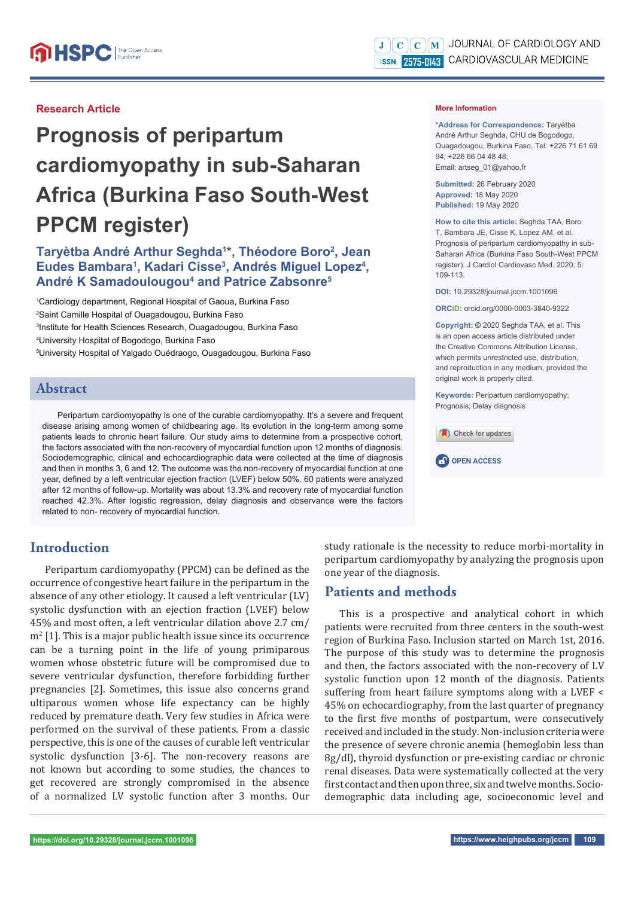#### **Research Article**

# **Prognosis of peripartum cardiomyopathy in sub-Saharan Africa (Burkina Faso South-West PPCM register)**

## Taryètba André Arthur Seghda<sup>1\*</sup>, Théodore Boro<sup>2</sup>, Jean Eudes Bambara<sup>1</sup>, Kadari Cisse<sup>3</sup>, Andrés Miguel Lopez<sup>4</sup>, **André K Samadoulougou4 and Patrice Zabsonre5**

 Cardiology department, Regional Hospital of Gaoua, Burkina Faso Saint Camille Hospital of Ouagadougou, Burkina Faso Institute for Health Sciences Research, Ouagadougou, Burkina Faso University Hospital of Bogodogo, Burkina Faso University Hospital of Yalgado Ouédraogo, Ouagadougou, Burkina Faso

### **Abstract**

Peripartum cardiomyopathy is one of the curable cardiomyopathy. It's a severe and frequent disease arising among women of childbearing age. Its evolution in the long-term among some patients leads to chronic heart failure. Our study aims to determine from a prospective cohort, the factors associated with the non-recovery of myocardial function upon 12 months of diagnosis. Sociodemographic, clinical and echocardiographic data were collected at the time of diagnosis and then in months 3, 6 and 12. The outcome was the non-recovery of myocardial function at one year, defined by a left ventricular ejection fraction (LVEF) below 50%. 60 patients were analyzed after 12 months of follow-up. Mortality was about 13.3% and recovery rate of myocardial function reached 42.3%. After logistic regression, delay diagnosis and observance were the factors related to non- recovery of myocardial function.

## **Introduction**

Peripartum cardiomyopathy (PPCM) can be defined as the occurrence of congestive heart failure in the peripartum in the absence of any other etiology. It caused a left ventricular (LV) systolic dysfunction with an ejection fraction (LVEF) below 45% and most often, a left ventricular dilation above 2.7 cm/  $m<sup>2</sup>$  [1]. This is a major public health issue since its occurrence can be a turning point in the life of young primiparous women whose obstetric future will be compromised due to severe ventricular dysfunction, therefore forbidding further pregnancies [2]. Sometimes, this issue also concerns grand ultiparous women whose life expectancy can be highly reduced by premature death. Very few studies in Africa were performed on the survival of these patients. From a classic perspective, this is one of the causes of curable left ventricular systolic dysfunction [3-6]. The non-recovery reasons are not known but according to some studies, the chances to get recovered are strongly compromised in the absence of a normalized LV systolic function after 3 months. Our

study rationale is the necessity to reduce morbi-mortality in peripartum cardiomyopathy by analyzing the prognosis upon one year of the diagnosis.

## **Patients and methods**

This is a prospective and analytical cohort in which patients were recruited from three centers in the south-west region of Burkina Faso. Inclusion started on March 1st, 2016. The purpose of this study was to determine the prognosis and then, the factors associated with the non-recovery of LV systolic function upon 12 month of the diagnosis. Patients suffering from heart failure symptoms along with a LVEF < 45% on echocardiography, from the last quarter of pregnancy to the first five months of postpartum, were consecutively received and included in the study. Non-inclusion criteria were the presence of severe chronic anemia (hemoglobin less than 8g/dl), thyroid dysfunction or pre-existing cardiac or chronic renal diseases. Data were systematically collected at the very first contact and then upon three, six and twelve months. Sociodemographic data including age, socioeconomic level and

#### **More Information**

**\*Address for Correspondence:** Taryètba André Arthur Seghda, CHU de Bogodogo, Ouagadougou, Burkina Faso, Tel: +226 71 61 69 94; +226 66 04 48 48; Email: artseg\_01@yahoo.fr

**Submitted:** 26 February 2020 **Approved:** 18 May 2020 **Published:** 19 May 2020

**How to cite this article:** Seghda TAA, Boro T, Bambara JE, Cisse K, Lopez AM, et al. Prognosis of peripartum cardiomyopathy in sub-Saharan Africa (Burkina Faso South-West PPCM register). J Cardiol Cardiovasc Med. 2020; 5: 109-113.

**DOI:** 10.29328/journal.jccm.1001096

**ORCiD:** orcid.org/0000-0003-3840-9322

**Copyright: ©** 2020 Seghda TAA, et al. This is an open access article distributed under the Creative Commons Attribution License, which permits unrestricted use, distribution, and reproduction in any medium, provided the original work is properly cited.

**Keywords:** Peripartum cardiomyopathy; Prognosis; Delay diagnosis

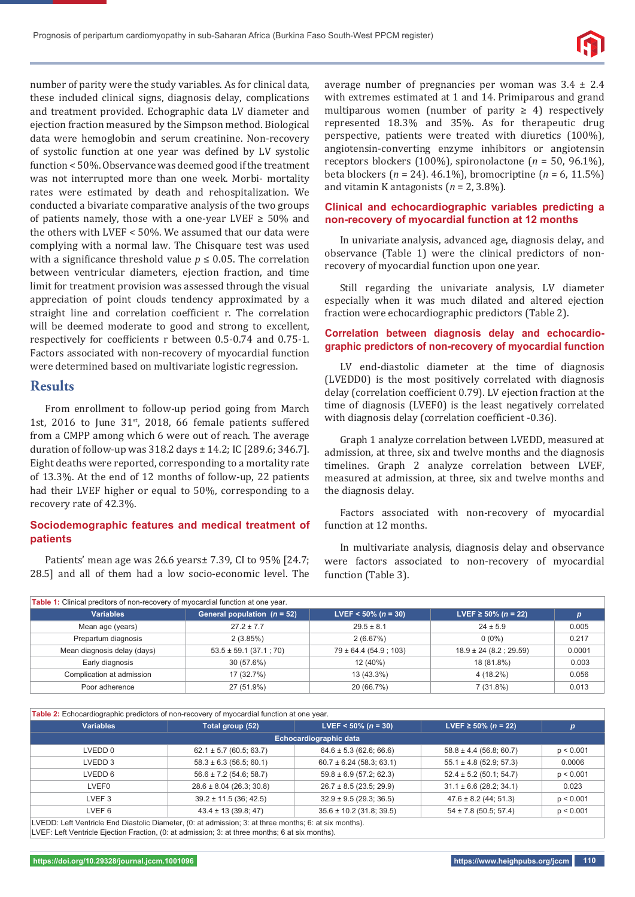

number of parity were the study variables. As for clinical data, these included clinical signs, diagnosis delay, complications and treatment provided. Echographic data LV diameter and ejection fraction measured by the Simpson method. Biological data were hemoglobin and serum creatinine. Non-recovery of systolic function at one year was defined by LV systolic function < 50%. Observance was deemed good if the treatment was not interrupted more than one week. Morbi- mortality rates were estimated by death and rehospitalization. We conducted a bivariate comparative analysis of the two groups of patients namely, those with a one-year LVEF  $\geq$  50% and the others with LVEF < 50%. We assumed that our data were complying with a normal law. The Chisquare test was used with a significance threshold value  $p \leq 0.05$ . The correlation between ventricular diameters, ejection fraction, and time limit for treatment provision was assessed through the visual appreciation of point clouds tendency approximated by a straight line and correlation coefficient r. The correlation will be deemed moderate to good and strong to excellent, respectively for coefficients r between 0.5-0.74 and 0.75-1. Factors associated with non-recovery of myocardial function were determined based on multivariate logistic regression.

#### **Results**

From enrollment to follow-up period going from March 1st, 2016 to June  $31<sup>st</sup>$ , 2018, 66 female patients suffered from a CMPP among which 6 were out of reach. The average duration of follow-up was 318.2 days ± 14.2; IC [289.6; 346.7]. Eight deaths were reported, corresponding to a mortality rate of 13.3%. At the end of 12 months of follow-up, 22 patients had their LVEF higher or equal to 50%, corresponding to a recovery rate of 42.3%.

#### **Sociodemographic features and medical treatment of patients**

Patients' mean age was 26.6 years± 7.39, CI to 95% [24.7; 28.5] and all of them had a low socio-economic level. The average number of pregnancies per woman was  $3.4 \pm 2.4$ with extremes estimated at 1 and 14. Primiparous and grand multiparous women (number of parity  $\geq 4$ ) respectively represented 18.3% and 35%. As for therapeutic drug perspective, patients were treated with diuretics (100%), angiotensin-converting enzyme inhibitors or angiotensin receptors blockers (100%), spironolactone (*n* = 50, 96.1%), beta blockers (*n* = 24). 46.1%), bromocriptine (*n* = 6, 11.5%) and vitamin K antagonists (*n* = 2, 3.8%).

#### **Clinical and echocardiographic variables predicting a non-recovery of myocardial function at 12 months**

In univariate analysis, advanced age, diagnosis delay, and observance (Table 1) were the clinical predictors of nonrecovery of myocardial function upon one year.

Still regarding the univariate analysis, LV diameter especially when it was much dilated and altered ejection fraction were echocardiographic predictors (Table 2).

#### **Correlation between diagnosis delay and echocardiographic predictors of non-recovery of myocardial function**

LV end-diastolic diameter at the time of diagnosis (LVEDD0) is the most positively correlated with diagnosis delay (correlation coefficient 0.79). LV ejection fraction at the time of diagnosis (LVEF0) is the least negatively correlated with diagnosis delay (correlation coefficient -0.36).

Graph 1 analyze correlation between LVEDD, measured at admission, at three, six and twelve months and the diagnosis timelines. Graph 2 analyze correlation between LVEF, measured at admission, at three, six and twelve months and the diagnosis delay.

Factors associated with non-recovery of myocardial function at 12 months.

In multivariate analysis, diagnosis delay and observance were factors associated to non-recovery of myocardial function (Table 3).

| Table 1: Clinical preditors of non-recovery of myocardial function at one year. |                               |                            |                             |        |  |  |  |
|---------------------------------------------------------------------------------|-------------------------------|----------------------------|-----------------------------|--------|--|--|--|
| <b>Variables</b>                                                                | General population $(n = 52)$ | LVEF < $50\%$ ( $n = 30$ ) | LVEF ≥ 50% ( $n = 22$ )     | D      |  |  |  |
| Mean age (years)                                                                | $27.2 \pm 7.7$                | $29.5 \pm 8.1$             | $24 \pm 5.9$                | 0.005  |  |  |  |
| Prepartum diagnosis                                                             | 2(3.85%)                      | 2(6.67%)                   | $0(0\%)$                    | 0.217  |  |  |  |
| Mean diagnosis delay (days)                                                     | $53.5 \pm 59.1$ (37.1; 70)    | $79 \pm 64.4$ (54.9 ; 103) | $18.9 \pm 24 (8.2 ; 29.59)$ | 0.0001 |  |  |  |
| Early diagnosis                                                                 | 30 (57.6%)                    | 12 (40%)                   | 18 (81.8%)                  | 0.003  |  |  |  |
| Complication at admission                                                       | 17 (32.7%)                    | 13 (43.3%)                 | 4 (18.2%)                   | 0.056  |  |  |  |
| Poor adherence                                                                  | 27 (51.9%)                    | 20 (66.7%)                 | 7 (31.8%)                   | 0.013  |  |  |  |

**Table 2:** Echocardiographic predictors of non-recovery of myocardial function at one year.

| <b>Variables</b>                                                                                       | Total group (52)             | LVEF < 50% ( $n = 30$ )      | LVEF ≥ 50% ( <i>n</i> = 22) | p         |
|--------------------------------------------------------------------------------------------------------|------------------------------|------------------------------|-----------------------------|-----------|
|                                                                                                        |                              | Echocardiographic data       |                             |           |
| LVEDD 0                                                                                                | $62.1 \pm 5.7$ (60.5; 63.7)  | $64.6 \pm 5.3$ (62.6; 66.6)  | $58.8 \pm 4.4$ (56.8; 60.7) | p < 0.001 |
| LVEDD 3                                                                                                | $58.3 \pm 6.3$ (56.5; 60.1)  | $60.7 \pm 6.24$ (58.3; 63.1) | $55.1 \pm 4.8$ (52.9; 57.3) | 0.0006    |
| LVEDD 6                                                                                                | $56.6 \pm 7.2$ (54.6; 58.7)  | $59.8 \pm 6.9$ (57.2; 62.3)  | $52.4 \pm 5.2$ (50.1; 54.7) | p < 0.001 |
| <b>LVEF0</b>                                                                                           | $28.6 \pm 8.04$ (26.3; 30.8) | $26.7 \pm 8.5$ (23.5; 29.9)  | $31.1 \pm 6.6$ (28.2; 34.1) | 0.023     |
| LVEF <sub>3</sub>                                                                                      | $39.2 \pm 11.5$ (36; 42.5)   | $32.9 \pm 9.5$ (29.3; 36.5)  | $47.6 \pm 8.2$ (44; 51.3)   | p < 0.001 |
| LVEF 6                                                                                                 | $43.4 \pm 13(39.8; 47)$      | $35.6 \pm 10.2$ (31.8; 39.5) | $54 \pm 7.8$ (50.5; 57.4)   | p < 0.001 |
| LVEDD: Left Ventricle End Diastolic Diameter, (0: at admission; 3: at three months; 6: at six months). |                              |                              |                             |           |

LVEF: Left Ventricle Ejection Fraction, (0: at admission; 3: at three months; 6 at six months).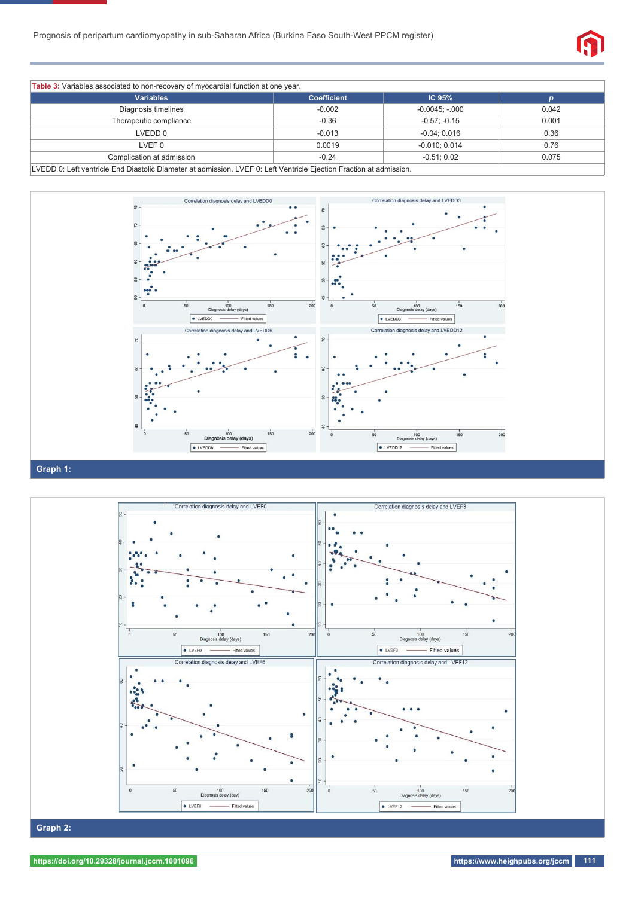

| <b>Variables</b>          | <b>Coefficient</b> | IC <sub>95%</sub> |       |
|---------------------------|--------------------|-------------------|-------|
| Diagnosis timelines       | $-0.002$           | $-0.0045; -000$   | 0.042 |
| Therapeutic compliance    | $-0.36$            | $-0.57: -0.15$    | 0.001 |
| LVEDD 0                   | $-0.013$           | $-0.04; 0.016$    | 0.36  |
| LVEF 0                    | 0.0019             | $-0.010; 0.014$   | 0.76  |
| Complication at admission | $-0.24$            | $-0.51; 0.02$     | 0.075 |

LVEDD 0: Left ventricle End Diastolic Diameter at admission. LVEF 0: Left Ventricle Ejection Fraction at admission.





## **https://doi.org/10.29328/journal.jccm.1001096 https://www.heighpubs.org/jccm 111**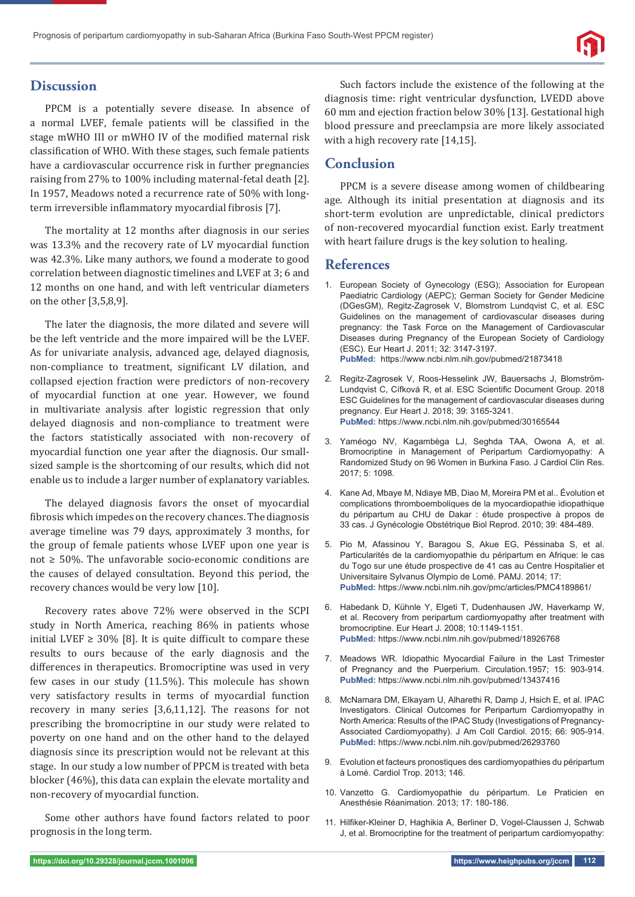## **Discussion**

PPCM is a potentially severe disease. In absence of a normal LVEF, female patients will be classified in the stage mWHO III or mWHO IV of the modified maternal risk classification of WHO. With these stages, such female patients have a cardiovascular occurrence risk in further pregnancies raising from 27% to 100% including maternal-fetal death [2]. In 1957, Meadows noted a recurrence rate of 50% with longterm irreversible inflammatory myocardial fibrosis [7].

The mortality at 12 months after diagnosis in our series was 13.3% and the recovery rate of LV myocardial function was 42.3%. Like many authors, we found a moderate to good correlation between diagnostic timelines and LVEF at 3; 6 and 12 months on one hand, and with left ventricular diameters on the other [3,5,8,9].

The later the diagnosis, the more dilated and severe will be the left ventricle and the more impaired will be the LVEF. As for univariate analysis, advanced age, delayed diagnosis, non-compliance to treatment, significant LV dilation, and collapsed ejection fraction were predictors of non-recovery of myocardial function at one year. However, we found in multivariate analysis after logistic regression that only delayed diagnosis and non-compliance to treatment were the factors statistically associated with non-recovery of myocardial function one year after the diagnosis. Our smallsized sample is the shortcoming of our results, which did not enable us to include a larger number of explanatory variables.

The delayed diagnosis favors the onset of myocardial fibrosis which impedes on the recovery chances. The diagnosis average timeline was 79 days, approximately 3 months, for the group of female patients whose LVEF upon one year is not ≥ 50%. The unfavorable socio-economic conditions are the causes of delayed consultation. Beyond this period, the recovery chances would be very low [10].

Recovery rates above 72% were observed in the SCPI study in North America, reaching 86% in patients whose initial LVEF  $\geq$  30% [8]. It is quite difficult to compare these results to ours because of the early diagnosis and the differences in therapeutics. Bromocriptine was used in very few cases in our study (11.5%). This molecule has shown very satisfactory results in terms of myocardial function recovery in many series [3,6,11,12]. The reasons for not prescribing the bromocriptine in our study were related to poverty on one hand and on the other hand to the delayed diagnosis since its prescription would not be relevant at this stage. In our study a low number of PPCM is treated with beta blocker (46%), this data can explain the elevate mortality and non-recovery of myocardial function.

Some other authors have found factors related to poor prognosis in the long term.

Such factors include the existence of the following at the diagnosis time: right ventricular dysfunction, LVEDD above 60 mm and ejection fraction below 30% [13]. Gestational high blood pressure and preeclampsia are more likely associated with a high recovery rate [14,15].

## **Conclusion**

PPCM is a severe disease among women of childbearing age. Although its initial presentation at diagnosis and its short-term evolution are unpredictable, clinical predictors of non-recovered myocardial function exist. Early treatment with heart failure drugs is the key solution to healing.

### **References**

- 1. European Society of Gynecology (ESG); Association for European Paediatric Cardiology (AEPC); German Society for Gender Medicine (DGesGM), Regitz-Zagrosek V, Blomstrom Lundqvist C, et al. ESC Guidelines on the management of cardiovascular diseases during pregnancy: the Task Force on the Management of Cardiovascular Diseases during Pregnancy of the European Society of Cardiology (ESC). Eur Heart J. 2011; 32: 3147-3197. **PubMed:** https://www.ncbi.nlm.nih.gov/pubmed/21873418
- 2. Regitz-Zagrosek V, Roos-Hesselink JW, Bauersachs J, Blomström-Lundqvist C, Cífková R, et al. ESC Scientific Document Group. 2018 ESC Guidelines for the management of cardiovascular diseases during pregnancy. Eur Heart J. 2018; 39: 3165-3241. **PubMed:** https://www.ncbi.nlm.nih.gov/pubmed/30165544
- 3. Yaméogo NV, Kagambèga LJ, Seghda TAA, Owona A, et al. Bromocriptine in Management of Peripartum Cardiomyopathy: A Randomized Study on 96 Women in Burkina Faso. J Cardiol Clin Res. 2017; 5: 1098.
- 4. Kane Ad, Mbaye M, Ndiaye MB, Diao M, Moreira PM et al.. Évolution et complications thromboemboliques de la myocardiopathie idiopathique du péripartum au CHU de Dakar : étude prospective à propos de 33 cas. J Gynécologie Obstétrique Biol Reprod. 2010; 39: 484-489.
- 5. Pio M, Afassinou Y, Baragou S, Akue EG, Péssinaba S, et al. Particularités de la cardiomyopathie du péripartum en Afrique: le cas du Togo sur une étude prospective de 41 cas au Centre Hospitalier et Universitaire Sylvanus Olympio de Lomé. PAMJ. 2014; 17: **PubMed:** https://www.ncbi.nlm.nih.gov/pmc/articles/PMC4189861/
- 6. Habedank D, Kühnle Y, Elgeti T, Dudenhausen JW, Haverkamp W, et al. Recovery from peripartum cardiomyopathy after treatment with bromocriptine. Eur Heart J. 2008; 10:1149-1151. **PubMed:** https://www.ncbi.nlm.nih.gov/pubmed/18926768
- 7. Meadows WR. Idiopathic Myocardial Failure in the Last Trimester of Pregnancy and the Puerperium. Circulation.1957; 15: 903-914. **PubMed:** https://www.ncbi.nlm.nih.gov/pubmed/13437416
- 8. McNamara DM, Elkayam U, Alharethi R, Damp J, Hsich E, et al. IPAC Investigators. Clinical Outcomes for Peripartum Cardiomyopathy in North America: Results of the IPAC Study (Investigations of Pregnancy-Associated Cardiomyopathy). J Am Coll Cardiol. 2015; 66: 905-914. **PubMed:** https://www.ncbi.nlm.nih.gov/pubmed/26293760
- 9. Evolution et facteurs pronostiques des cardiomyopathies du péripartum à Lomé. Cardiol Trop. 2013; 146.
- 10. Vanzetto G. Cardiomyopathie du péripartum. Le Praticien en Anesthésie Réanimation. 2013; 17: 180-186.
- 11. Hilfiker-Kleiner D, Haghikia A, Berliner D, Vogel-Claussen J, Schwab J, et al. Bromocriptine for the treatment of peripartum cardiomyopathy: